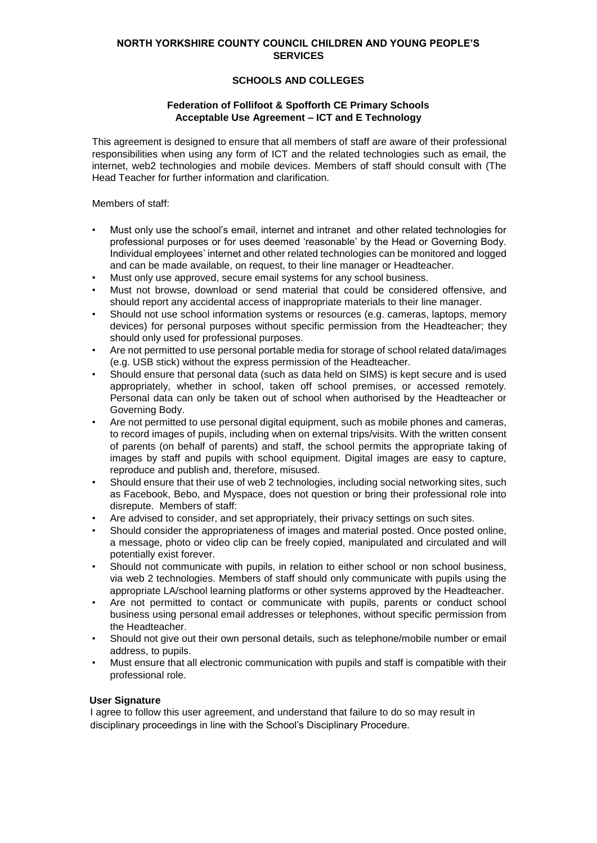## **NORTH YORKSHIRE COUNTY COUNCIL CHILDREN AND YOUNG PEOPLE'S SERVICES**

## **SCHOOLS AND COLLEGES**

## **Federation of Follifoot & Spofforth CE Primary Schools Acceptable Use Agreement – ICT and E Technology**

This agreement is designed to ensure that all members of staff are aware of their professional responsibilities when using any form of ICT and the related technologies such as email, the internet, web2 technologies and mobile devices. Members of staff should consult with (The Head Teacher for further information and clarification.

Members of staff:

- Must only use the school's email, internet and intranet and other related technologies for professional purposes or for uses deemed 'reasonable' by the Head or Governing Body. Individual employees' internet and other related technologies can be monitored and logged and can be made available, on request, to their line manager or Headteacher.
- Must only use approved, secure email systems for any school business.
- Must not browse, download or send material that could be considered offensive, and should report any accidental access of inappropriate materials to their line manager.
- Should not use school information systems or resources (e.g. cameras, laptops, memory devices) for personal purposes without specific permission from the Headteacher; they should only used for professional purposes.
- Are not permitted to use personal portable media for storage of school related data/images (e.g. USB stick) without the express permission of the Headteacher.
- Should ensure that personal data (such as data held on SIMS) is kept secure and is used appropriately, whether in school, taken off school premises, or accessed remotely. Personal data can only be taken out of school when authorised by the Headteacher or Governing Body.
- Are not permitted to use personal digital equipment, such as mobile phones and cameras, to record images of pupils, including when on external trips/visits. With the written consent of parents (on behalf of parents) and staff, the school permits the appropriate taking of images by staff and pupils with school equipment. Digital images are easy to capture, reproduce and publish and, therefore, misused.
- Should ensure that their use of web 2 technologies, including social networking sites, such as Facebook, Bebo, and Myspace, does not question or bring their professional role into disrepute. Members of staff:
- Are advised to consider, and set appropriately, their privacy settings on such sites.
- Should consider the appropriateness of images and material posted. Once posted online, a message, photo or video clip can be freely copied, manipulated and circulated and will potentially exist forever.
- Should not communicate with pupils, in relation to either school or non school business, via web 2 technologies. Members of staff should only communicate with pupils using the appropriate LA/school learning platforms or other systems approved by the Headteacher.
- Are not permitted to contact or communicate with pupils, parents or conduct school business using personal email addresses or telephones, without specific permission from the Headteacher.
- Should not give out their own personal details, such as telephone/mobile number or email address, to pupils.
- Must ensure that all electronic communication with pupils and staff is compatible with their professional role.

## **User Signature**

I agree to follow this user agreement, and understand that failure to do so may result in disciplinary proceedings in line with the School's Disciplinary Procedure.